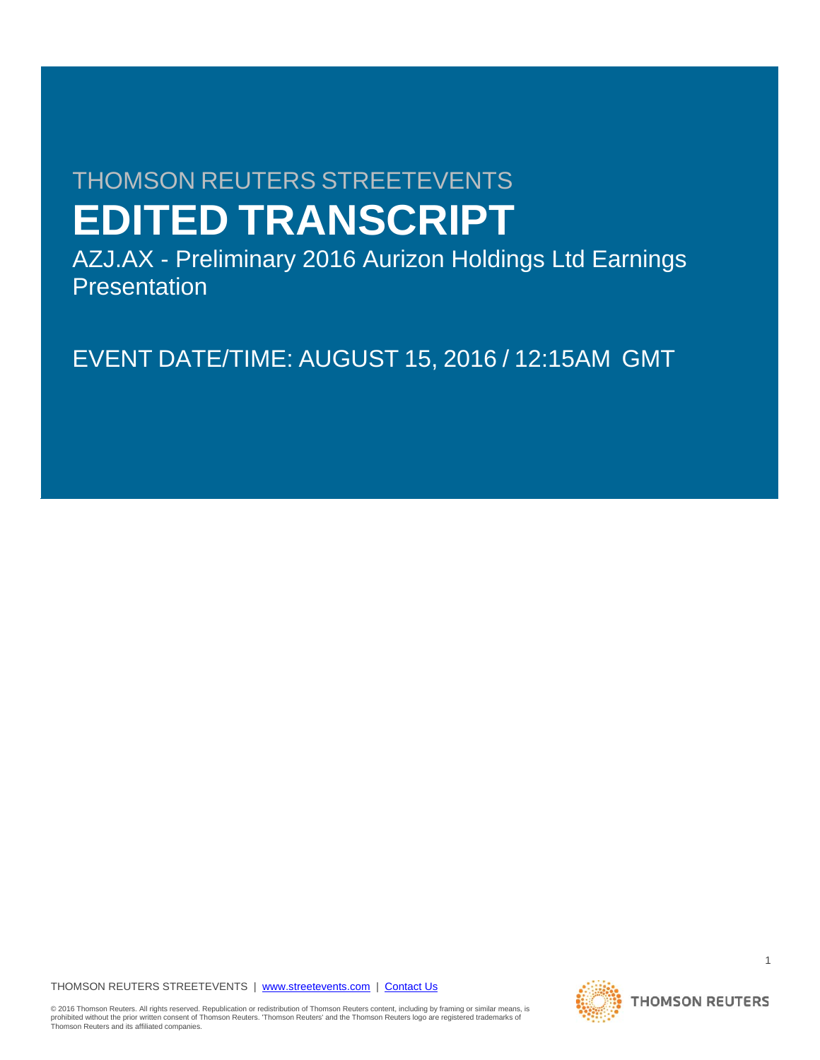# THOMSON REUTERS STREETEVENTS **EDITED TRANSCRIPT**

AZJ.AX - Preliminary 2016 Aurizon Holdings Ltd Earnings **Presentation** 

EVENT DATE/TIME: AUGUST 15, 2016 / 12:15AM GMT

THOMSON REUTERS STREETEVENTS | www.streetevents.com | Contact Us

© 2016 Thomson Reuters. All rights reserved. Republication or redistribution of Thomson Reuters content, including by framing or similar means, is<br>prohibited without the prior written consent of Thomson Reuters: 'Thomson R Thomson Reuters and its affiliated companies.

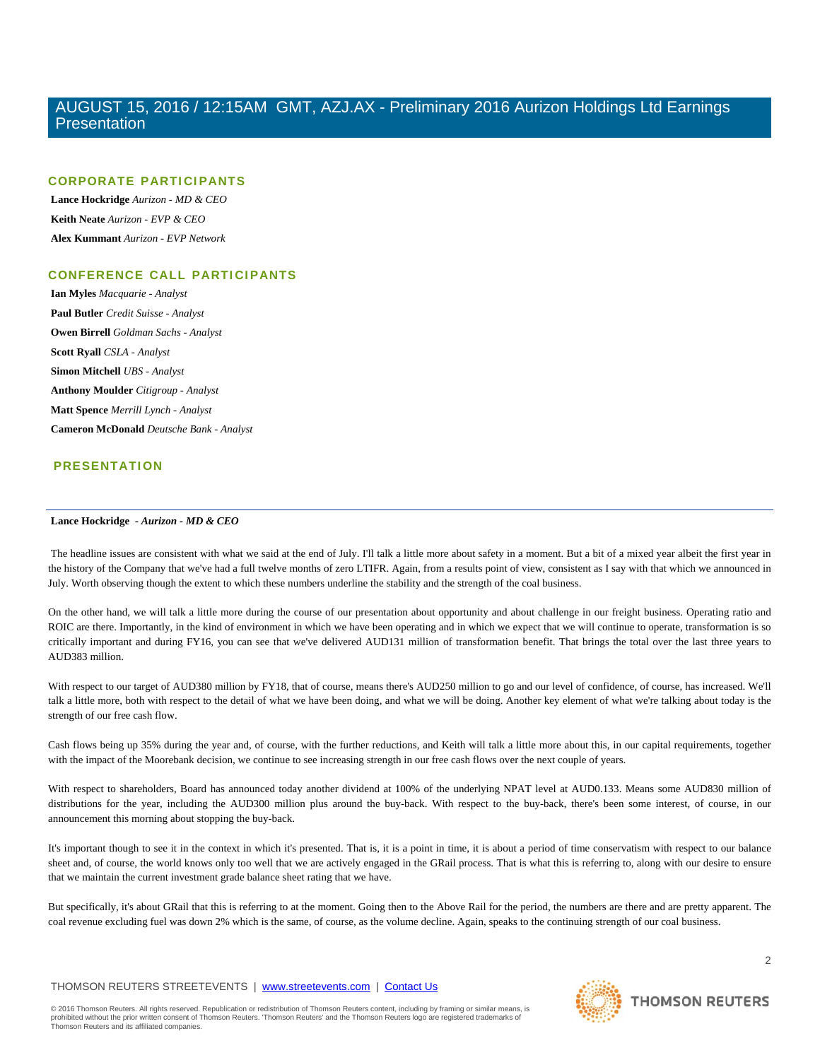# **CORPORATE PARTICIPANTS**

 **Lance Hockridge** *Aurizon - MD & CEO*   **Keith Neate** *Aurizon - EVP & CEO*   **Alex Kummant** *Aurizon - EVP Network* 

# **CONFERENCE CALL PARTICIPANTS**

 **Ian Myles** *Macquarie - Analyst*   **Paul Butler** *Credit Suisse - Analyst*   **Owen Birrell** *Goldman Sachs - Analyst*   **Scott Ryall** *CSLA - Analyst*   **Simon Mitchell** *UBS - Analyst*   **Anthony Moulder** *Citigroup - Analyst*   **Matt Spence** *Merrill Lynch - Analyst*   **Cameron McDonald** *Deutsche Bank - Analyst* 

# **PRESENTATION**

# **Lance Hockridge** *- Aurizon - MD & CEO*

 The headline issues are consistent with what we said at the end of July. I'll talk a little more about safety in a moment. But a bit of a mixed year albeit the first year in the history of the Company that we've had a full twelve months of zero LTIFR. Again, from a results point of view, consistent as I say with that which we announced in July. Worth observing though the extent to which these numbers underline the stability and the strength of the coal business.

On the other hand, we will talk a little more during the course of our presentation about opportunity and about challenge in our freight business. Operating ratio and ROIC are there. Importantly, in the kind of environment in which we have been operating and in which we expect that we will continue to operate, transformation is so critically important and during FY16, you can see that we've delivered AUD131 million of transformation benefit. That brings the total over the last three years to AUD383 million.

With respect to our target of AUD380 million by FY18, that of course, means there's AUD250 million to go and our level of confidence, of course, has increased. We'll talk a little more, both with respect to the detail of what we have been doing, and what we will be doing. Another key element of what we're talking about today is the strength of our free cash flow.

Cash flows being up 35% during the year and, of course, with the further reductions, and Keith will talk a little more about this, in our capital requirements, together with the impact of the Moorebank decision, we continue to see increasing strength in our free cash flows over the next couple of years.

With respect to shareholders, Board has announced today another dividend at 100% of the underlying NPAT level at AUD0.133. Means some AUD830 million of distributions for the year, including the AUD300 million plus around the buy-back. With respect to the buy-back, there's been some interest, of course, in our announcement this morning about stopping the buy-back.

It's important though to see it in the context in which it's presented. That is, it is a point in time, it is about a period of time conservatism with respect to our balance sheet and, of course, the world knows only too well that we are actively engaged in the GRail process. That is what this is referring to, along with our desire to ensure that we maintain the current investment grade balance sheet rating that we have.

But specifically, it's about GRail that this is referring to at the moment. Going then to the Above Rail for the period, the numbers are there and are pretty apparent. The coal revenue excluding fuel was down 2% which is the same, of course, as the volume decline. Again, speaks to the continuing strength of our coal business.

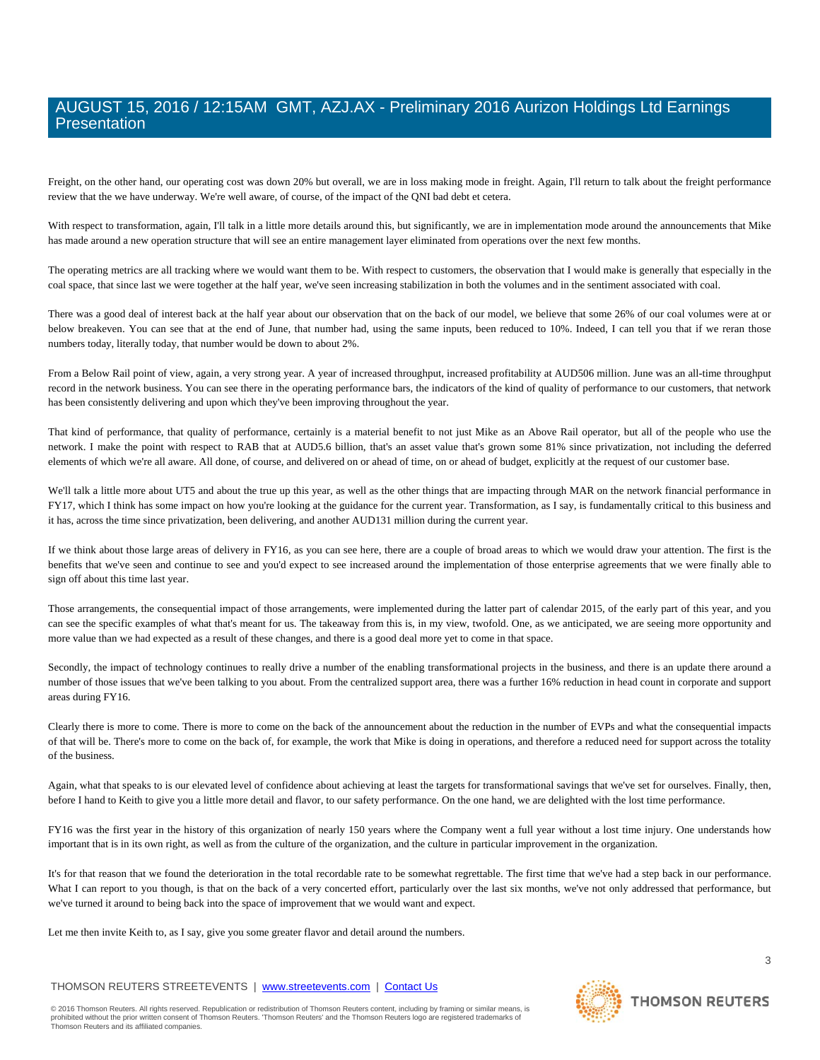Freight, on the other hand, our operating cost was down 20% but overall, we are in loss making mode in freight. Again, I'll return to talk about the freight performance review that the we have underway. We're well aware, of course, of the impact of the QNI bad debt et cetera.

With respect to transformation, again, I'll talk in a little more details around this, but significantly, we are in implementation mode around the announcements that Mike has made around a new operation structure that will see an entire management layer eliminated from operations over the next few months.

The operating metrics are all tracking where we would want them to be. With respect to customers, the observation that I would make is generally that especially in the coal space, that since last we were together at the half year, we've seen increasing stabilization in both the volumes and in the sentiment associated with coal.

There was a good deal of interest back at the half year about our observation that on the back of our model, we believe that some 26% of our coal volumes were at or below breakeven. You can see that at the end of June, that number had, using the same inputs, been reduced to 10%. Indeed, I can tell you that if we reran those numbers today, literally today, that number would be down to about 2%.

From a Below Rail point of view, again, a very strong year. A year of increased throughput, increased profitability at AUD506 million. June was an all-time throughput record in the network business. You can see there in the operating performance bars, the indicators of the kind of quality of performance to our customers, that network has been consistently delivering and upon which they've been improving throughout the year.

That kind of performance, that quality of performance, certainly is a material benefit to not just Mike as an Above Rail operator, but all of the people who use the network. I make the point with respect to RAB that at AUD5.6 billion, that's an asset value that's grown some 81% since privatization, not including the deferred elements of which we're all aware. All done, of course, and delivered on or ahead of time, on or ahead of budget, explicitly at the request of our customer base.

We'll talk a little more about UT5 and about the true up this year, as well as the other things that are impacting through MAR on the network financial performance in FY17, which I think has some impact on how you're looking at the guidance for the current year. Transformation, as I say, is fundamentally critical to this business and it has, across the time since privatization, been delivering, and another AUD131 million during the current year.

If we think about those large areas of delivery in FY16, as you can see here, there are a couple of broad areas to which we would draw your attention. The first is the benefits that we've seen and continue to see and you'd expect to see increased around the implementation of those enterprise agreements that we were finally able to sign off about this time last year.

Those arrangements, the consequential impact of those arrangements, were implemented during the latter part of calendar 2015, of the early part of this year, and you can see the specific examples of what that's meant for us. The takeaway from this is, in my view, twofold. One, as we anticipated, we are seeing more opportunity and more value than we had expected as a result of these changes, and there is a good deal more yet to come in that space.

Secondly, the impact of technology continues to really drive a number of the enabling transformational projects in the business, and there is an update there around a number of those issues that we've been talking to you about. From the centralized support area, there was a further 16% reduction in head count in corporate and support areas during FY16.

Clearly there is more to come. There is more to come on the back of the announcement about the reduction in the number of EVPs and what the consequential impacts of that will be. There's more to come on the back of, for example, the work that Mike is doing in operations, and therefore a reduced need for support across the totality of the business.

Again, what that speaks to is our elevated level of confidence about achieving at least the targets for transformational savings that we've set for ourselves. Finally, then, before I hand to Keith to give you a little more detail and flavor, to our safety performance. On the one hand, we are delighted with the lost time performance.

FY16 was the first year in the history of this organization of nearly 150 years where the Company went a full year without a lost time injury. One understands how important that is in its own right, as well as from the culture of the organization, and the culture in particular improvement in the organization.

It's for that reason that we found the deterioration in the total recordable rate to be somewhat regrettable. The first time that we've had a step back in our performance. What I can report to you though, is that on the back of a very concerted effort, particularly over the last six months, we've not only addressed that performance, but we've turned it around to being back into the space of improvement that we would want and expect.

Let me then invite Keith to, as I say, give you some greater flavor and detail around the numbers.

# THOMSON REUTERS STREETEVENTS | www.streetevents.com | Contact Us

3

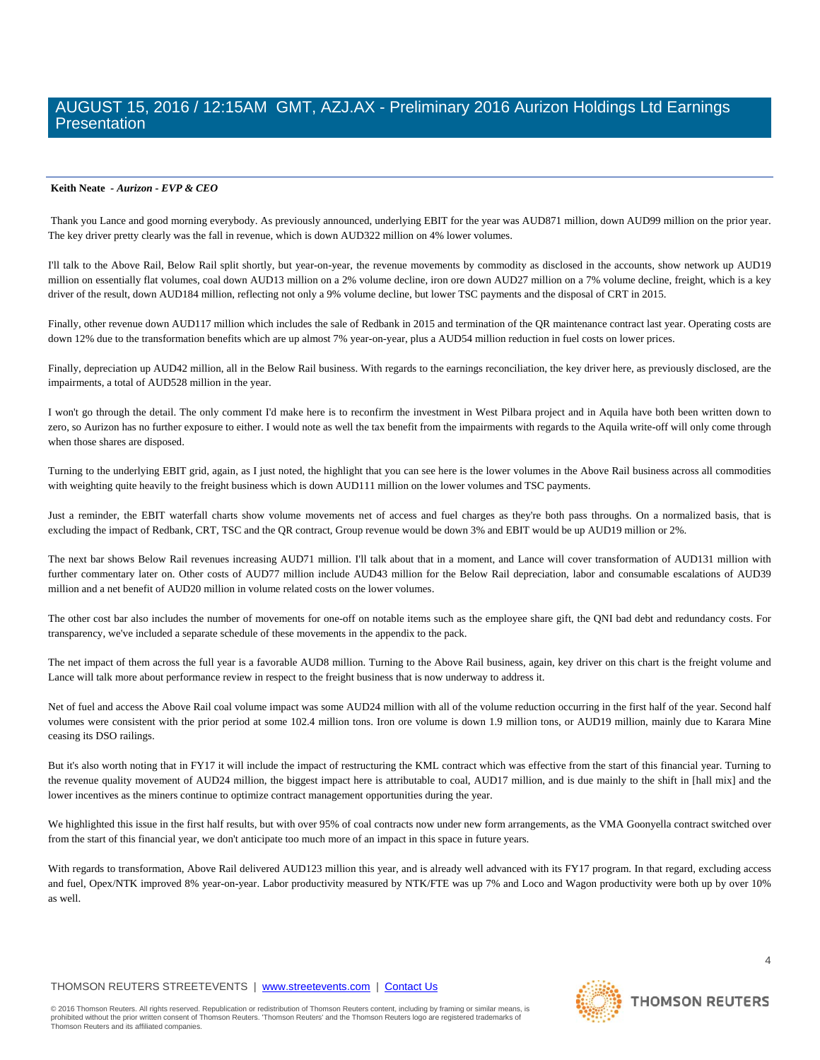## **Keith Neate** *- Aurizon - EVP & CEO*

 Thank you Lance and good morning everybody. As previously announced, underlying EBIT for the year was AUD871 million, down AUD99 million on the prior year. The key driver pretty clearly was the fall in revenue, which is down AUD322 million on 4% lower volumes.

I'll talk to the Above Rail, Below Rail split shortly, but year-on-year, the revenue movements by commodity as disclosed in the accounts, show network up AUD19 million on essentially flat volumes, coal down AUD13 million on a 2% volume decline, iron ore down AUD27 million on a 7% volume decline, freight, which is a key driver of the result, down AUD184 million, reflecting not only a 9% volume decline, but lower TSC payments and the disposal of CRT in 2015.

Finally, other revenue down AUD117 million which includes the sale of Redbank in 2015 and termination of the QR maintenance contract last year. Operating costs are down 12% due to the transformation benefits which are up almost 7% year-on-year, plus a AUD54 million reduction in fuel costs on lower prices.

Finally, depreciation up AUD42 million, all in the Below Rail business. With regards to the earnings reconciliation, the key driver here, as previously disclosed, are the impairments, a total of AUD528 million in the year.

I won't go through the detail. The only comment I'd make here is to reconfirm the investment in West Pilbara project and in Aquila have both been written down to zero, so Aurizon has no further exposure to either. I would note as well the tax benefit from the impairments with regards to the Aquila write-off will only come through when those shares are disposed.

Turning to the underlying EBIT grid, again, as I just noted, the highlight that you can see here is the lower volumes in the Above Rail business across all commodities with weighting quite heavily to the freight business which is down AUD111 million on the lower volumes and TSC payments.

Just a reminder, the EBIT waterfall charts show volume movements net of access and fuel charges as they're both pass throughs. On a normalized basis, that is excluding the impact of Redbank, CRT, TSC and the QR contract, Group revenue would be down 3% and EBIT would be up AUD19 million or 2%.

The next bar shows Below Rail revenues increasing AUD71 million. I'll talk about that in a moment, and Lance will cover transformation of AUD131 million with further commentary later on. Other costs of AUD77 million include AUD43 million for the Below Rail depreciation, labor and consumable escalations of AUD39 million and a net benefit of AUD20 million in volume related costs on the lower volumes.

The other cost bar also includes the number of movements for one-off on notable items such as the employee share gift, the QNI bad debt and redundancy costs. For transparency, we've included a separate schedule of these movements in the appendix to the pack.

The net impact of them across the full year is a favorable AUD8 million. Turning to the Above Rail business, again, key driver on this chart is the freight volume and Lance will talk more about performance review in respect to the freight business that is now underway to address it.

Net of fuel and access the Above Rail coal volume impact was some AUD24 million with all of the volume reduction occurring in the first half of the year. Second half volumes were consistent with the prior period at some 102.4 million tons. Iron ore volume is down 1.9 million tons, or AUD19 million, mainly due to Karara Mine ceasing its DSO railings.

But it's also worth noting that in FY17 it will include the impact of restructuring the KML contract which was effective from the start of this financial year. Turning to the revenue quality movement of AUD24 million, the biggest impact here is attributable to coal, AUD17 million, and is due mainly to the shift in [hall mix] and the lower incentives as the miners continue to optimize contract management opportunities during the year.

We highlighted this issue in the first half results, but with over 95% of coal contracts now under new form arrangements, as the VMA Goonyella contract switched over from the start of this financial year, we don't anticipate too much more of an impact in this space in future years.

With regards to transformation, Above Rail delivered AUD123 million this year, and is already well advanced with its FY17 program. In that regard, excluding access and fuel, Opex/NTK improved 8% year-on-year. Labor productivity measured by NTK/FTE was up 7% and Loco and Wagon productivity were both up by over 10% as well.

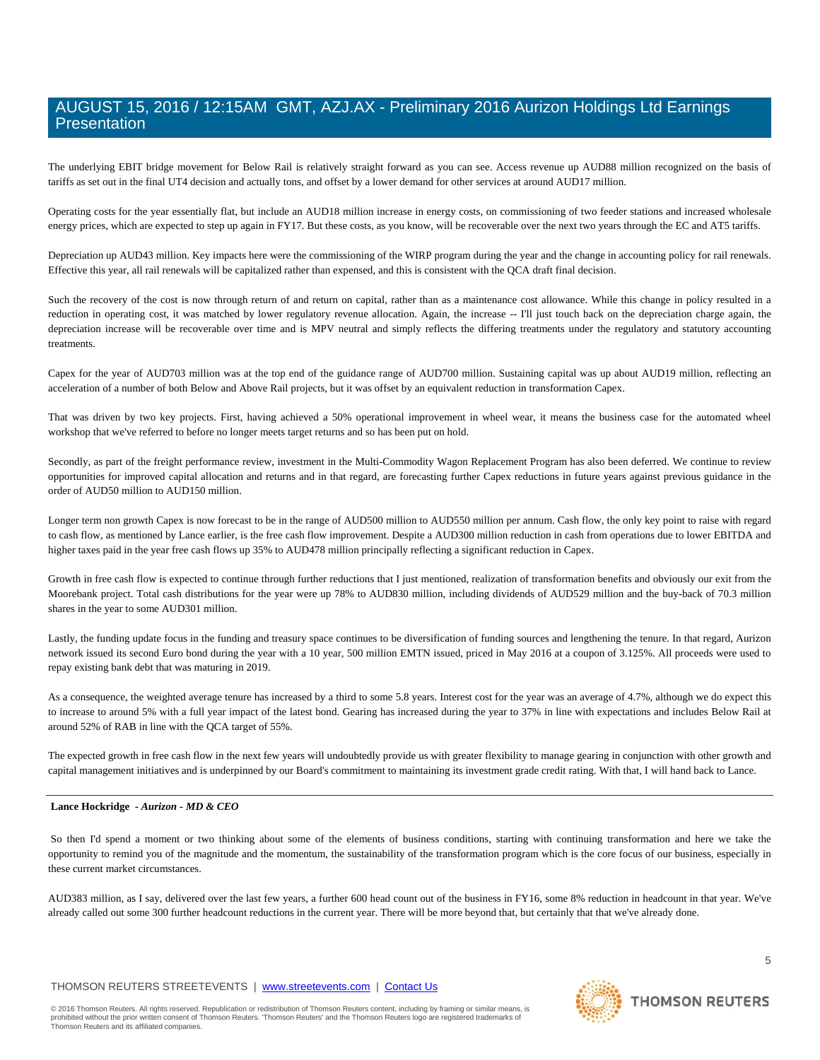The underlying EBIT bridge movement for Below Rail is relatively straight forward as you can see. Access revenue up AUD88 million recognized on the basis of tariffs as set out in the final UT4 decision and actually tons, and offset by a lower demand for other services at around AUD17 million.

Operating costs for the year essentially flat, but include an AUD18 million increase in energy costs, on commissioning of two feeder stations and increased wholesale energy prices, which are expected to step up again in FY17. But these costs, as you know, will be recoverable over the next two years through the EC and AT5 tariffs.

Depreciation up AUD43 million. Key impacts here were the commissioning of the WIRP program during the year and the change in accounting policy for rail renewals. Effective this year, all rail renewals will be capitalized rather than expensed, and this is consistent with the QCA draft final decision.

Such the recovery of the cost is now through return of and return on capital, rather than as a maintenance cost allowance. While this change in policy resulted in a reduction in operating cost, it was matched by lower regulatory revenue allocation. Again, the increase -- I'll just touch back on the depreciation charge again, the depreciation increase will be recoverable over time and is MPV neutral and simply reflects the differing treatments under the regulatory and statutory accounting treatments.

Capex for the year of AUD703 million was at the top end of the guidance range of AUD700 million. Sustaining capital was up about AUD19 million, reflecting an acceleration of a number of both Below and Above Rail projects, but it was offset by an equivalent reduction in transformation Capex.

That was driven by two key projects. First, having achieved a 50% operational improvement in wheel wear, it means the business case for the automated wheel workshop that we've referred to before no longer meets target returns and so has been put on hold.

Secondly, as part of the freight performance review, investment in the Multi-Commodity Wagon Replacement Program has also been deferred. We continue to review opportunities for improved capital allocation and returns and in that regard, are forecasting further Capex reductions in future years against previous guidance in the order of AUD50 million to AUD150 million.

Longer term non growth Capex is now forecast to be in the range of AUD500 million to AUD550 million per annum. Cash flow, the only key point to raise with regard to cash flow, as mentioned by Lance earlier, is the free cash flow improvement. Despite a AUD300 million reduction in cash from operations due to lower EBITDA and higher taxes paid in the year free cash flows up 35% to AUD478 million principally reflecting a significant reduction in Capex.

Growth in free cash flow is expected to continue through further reductions that I just mentioned, realization of transformation benefits and obviously our exit from the Moorebank project. Total cash distributions for the year were up 78% to AUD830 million, including dividends of AUD529 million and the buy-back of 70.3 million shares in the year to some AUD301 million.

Lastly, the funding update focus in the funding and treasury space continues to be diversification of funding sources and lengthening the tenure. In that regard, Aurizon network issued its second Euro bond during the year with a 10 year, 500 million EMTN issued, priced in May 2016 at a coupon of 3.125%. All proceeds were used to repay existing bank debt that was maturing in 2019.

As a consequence, the weighted average tenure has increased by a third to some 5.8 years. Interest cost for the year was an average of 4.7%, although we do expect this to increase to around 5% with a full year impact of the latest bond. Gearing has increased during the year to 37% in line with expectations and includes Below Rail at around 52% of RAB in line with the QCA target of 55%.

The expected growth in free cash flow in the next few years will undoubtedly provide us with greater flexibility to manage gearing in conjunction with other growth and capital management initiatives and is underpinned by our Board's commitment to maintaining its investment grade credit rating. With that, I will hand back to Lance.

# **Lance Hockridge** *- Aurizon - MD & CEO*

 So then I'd spend a moment or two thinking about some of the elements of business conditions, starting with continuing transformation and here we take the opportunity to remind you of the magnitude and the momentum, the sustainability of the transformation program which is the core focus of our business, especially in these current market circumstances.

AUD383 million, as I say, delivered over the last few years, a further 600 head count out of the business in FY16, some 8% reduction in headcount in that year. We've already called out some 300 further headcount reductions in the current year. There will be more beyond that, but certainly that that we've already done.

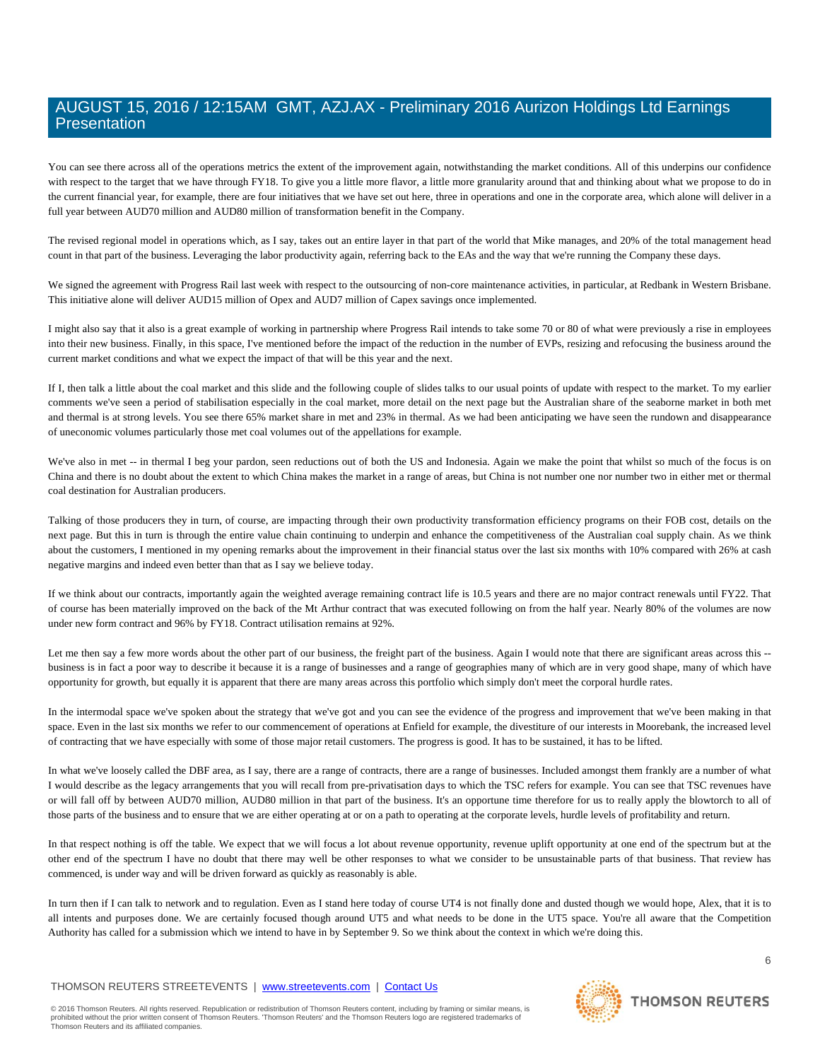You can see there across all of the operations metrics the extent of the improvement again, notwithstanding the market conditions. All of this underpins our confidence with respect to the target that we have through FY18. To give you a little more flavor, a little more granularity around that and thinking about what we propose to do in the current financial year, for example, there are four initiatives that we have set out here, three in operations and one in the corporate area, which alone will deliver in a full year between AUD70 million and AUD80 million of transformation benefit in the Company.

The revised regional model in operations which, as I say, takes out an entire layer in that part of the world that Mike manages, and 20% of the total management head count in that part of the business. Leveraging the labor productivity again, referring back to the EAs and the way that we're running the Company these days.

We signed the agreement with Progress Rail last week with respect to the outsourcing of non-core maintenance activities, in particular, at Redbank in Western Brisbane. This initiative alone will deliver AUD15 million of Opex and AUD7 million of Capex savings once implemented.

I might also say that it also is a great example of working in partnership where Progress Rail intends to take some 70 or 80 of what were previously a rise in employees into their new business. Finally, in this space, I've mentioned before the impact of the reduction in the number of EVPs, resizing and refocusing the business around the current market conditions and what we expect the impact of that will be this year and the next.

If I, then talk a little about the coal market and this slide and the following couple of slides talks to our usual points of update with respect to the market. To my earlier comments we've seen a period of stabilisation especially in the coal market, more detail on the next page but the Australian share of the seaborne market in both met and thermal is at strong levels. You see there 65% market share in met and 23% in thermal. As we had been anticipating we have seen the rundown and disappearance of uneconomic volumes particularly those met coal volumes out of the appellations for example.

We've also in met -- in thermal I beg your pardon, seen reductions out of both the US and Indonesia. Again we make the point that whilst so much of the focus is on China and there is no doubt about the extent to which China makes the market in a range of areas, but China is not number one nor number two in either met or thermal coal destination for Australian producers.

Talking of those producers they in turn, of course, are impacting through their own productivity transformation efficiency programs on their FOB cost, details on the next page. But this in turn is through the entire value chain continuing to underpin and enhance the competitiveness of the Australian coal supply chain. As we think about the customers, I mentioned in my opening remarks about the improvement in their financial status over the last six months with 10% compared with 26% at cash negative margins and indeed even better than that as I say we believe today.

If we think about our contracts, importantly again the weighted average remaining contract life is 10.5 years and there are no major contract renewals until FY22. That of course has been materially improved on the back of the Mt Arthur contract that was executed following on from the half year. Nearly 80% of the volumes are now under new form contract and 96% by FY18. Contract utilisation remains at 92%.

Let me then say a few more words about the other part of our business, the freight part of the business. Again I would note that there are significant areas across this -business is in fact a poor way to describe it because it is a range of businesses and a range of geographies many of which are in very good shape, many of which have opportunity for growth, but equally it is apparent that there are many areas across this portfolio which simply don't meet the corporal hurdle rates.

In the intermodal space we've spoken about the strategy that we've got and you can see the evidence of the progress and improvement that we've been making in that space. Even in the last six months we refer to our commencement of operations at Enfield for example, the divestiture of our interests in Moorebank, the increased level of contracting that we have especially with some of those major retail customers. The progress is good. It has to be sustained, it has to be lifted.

In what we've loosely called the DBF area, as I say, there are a range of contracts, there are a range of businesses. Included amongst them frankly are a number of what I would describe as the legacy arrangements that you will recall from pre-privatisation days to which the TSC refers for example. You can see that TSC revenues have or will fall off by between AUD70 million, AUD80 million in that part of the business. It's an opportune time therefore for us to really apply the blowtorch to all of those parts of the business and to ensure that we are either operating at or on a path to operating at the corporate levels, hurdle levels of profitability and return.

In that respect nothing is off the table. We expect that we will focus a lot about revenue opportunity, revenue uplift opportunity at one end of the spectrum but at the other end of the spectrum I have no doubt that there may well be other responses to what we consider to be unsustainable parts of that business. That review has commenced, is under way and will be driven forward as quickly as reasonably is able.

In turn then if I can talk to network and to regulation. Even as I stand here today of course UT4 is not finally done and dusted though we would hope, Alex, that it is to all intents and purposes done. We are certainly focused though around UT5 and what needs to be done in the UT5 space. You're all aware that the Competition Authority has called for a submission which we intend to have in by September 9. So we think about the context in which we're doing this.

# THOMSON REUTERS STREETEVENTS | www.streetevents.com | Contact Us

© 2016 Thomson Reuters. All rights reserved. Republication or redistribution of Thomson Reuters content, including by framing or similar means, is<br>prohibited without the prior written consent of Thomson Reuters: 'Thomson R Thomson Reuters and its affiliated companies.

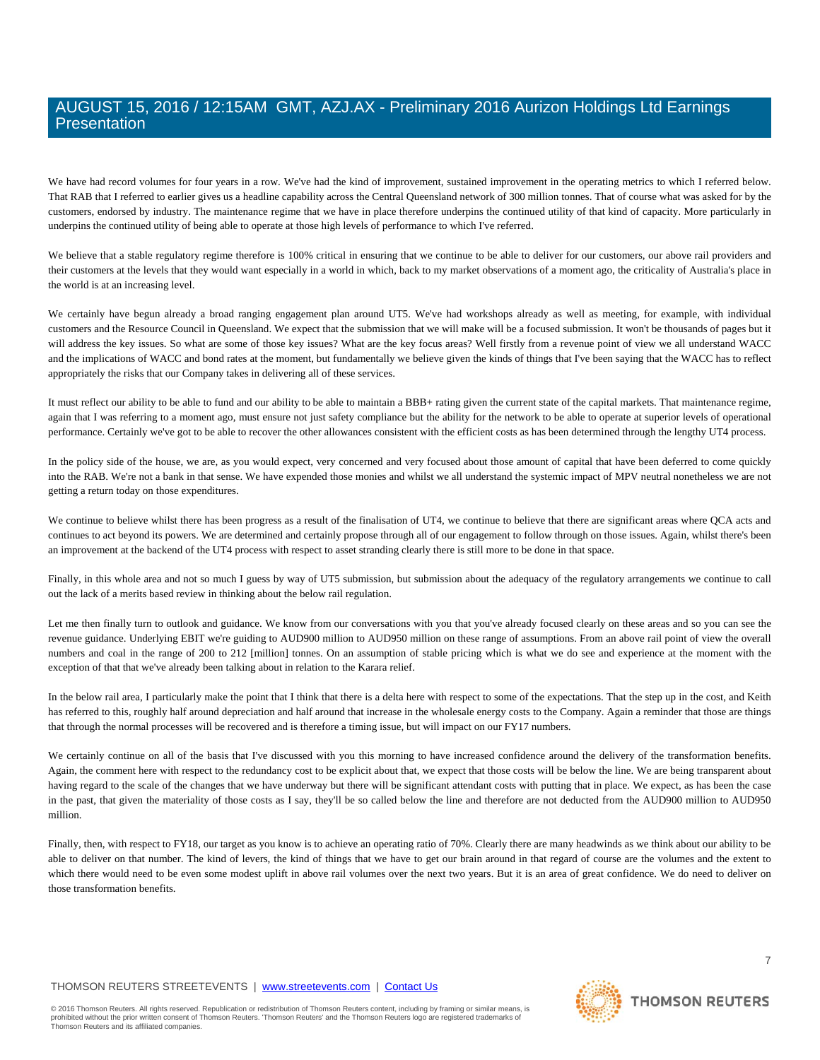We have had record volumes for four years in a row. We've had the kind of improvement, sustained improvement in the operating metrics to which I referred below. That RAB that I referred to earlier gives us a headline capability across the Central Queensland network of 300 million tonnes. That of course what was asked for by the customers, endorsed by industry. The maintenance regime that we have in place therefore underpins the continued utility of that kind of capacity. More particularly in underpins the continued utility of being able to operate at those high levels of performance to which I've referred.

We believe that a stable regulatory regime therefore is 100% critical in ensuring that we continue to be able to deliver for our customers, our above rail providers and their customers at the levels that they would want especially in a world in which, back to my market observations of a moment ago, the criticality of Australia's place in the world is at an increasing level.

We certainly have begun already a broad ranging engagement plan around UT5. We've had workshops already as well as meeting, for example, with individual customers and the Resource Council in Queensland. We expect that the submission that we will make will be a focused submission. It won't be thousands of pages but it will address the key issues. So what are some of those key issues? What are the key focus areas? Well firstly from a revenue point of view we all understand WACC and the implications of WACC and bond rates at the moment, but fundamentally we believe given the kinds of things that I've been saying that the WACC has to reflect appropriately the risks that our Company takes in delivering all of these services.

It must reflect our ability to be able to fund and our ability to be able to maintain a BBB+ rating given the current state of the capital markets. That maintenance regime, again that I was referring to a moment ago, must ensure not just safety compliance but the ability for the network to be able to operate at superior levels of operational performance. Certainly we've got to be able to recover the other allowances consistent with the efficient costs as has been determined through the lengthy UT4 process.

In the policy side of the house, we are, as you would expect, very concerned and very focused about those amount of capital that have been deferred to come quickly into the RAB. We're not a bank in that sense. We have expended those monies and whilst we all understand the systemic impact of MPV neutral nonetheless we are not getting a return today on those expenditures.

We continue to believe whilst there has been progress as a result of the finalisation of UT4, we continue to believe that there are significant areas where QCA acts and continues to act beyond its powers. We are determined and certainly propose through all of our engagement to follow through on those issues. Again, whilst there's been an improvement at the backend of the UT4 process with respect to asset stranding clearly there is still more to be done in that space.

Finally, in this whole area and not so much I guess by way of UT5 submission, but submission about the adequacy of the regulatory arrangements we continue to call out the lack of a merits based review in thinking about the below rail regulation.

Let me then finally turn to outlook and guidance. We know from our conversations with you that you've already focused clearly on these areas and so you can see the revenue guidance. Underlying EBIT we're guiding to AUD900 million to AUD950 million on these range of assumptions. From an above rail point of view the overall numbers and coal in the range of 200 to 212 [million] tonnes. On an assumption of stable pricing which is what we do see and experience at the moment with the exception of that that we've already been talking about in relation to the Karara relief.

In the below rail area, I particularly make the point that I think that there is a delta here with respect to some of the expectations. That the step up in the cost, and Keith has referred to this, roughly half around depreciation and half around that increase in the wholesale energy costs to the Company. Again a reminder that those are things that through the normal processes will be recovered and is therefore a timing issue, but will impact on our FY17 numbers.

We certainly continue on all of the basis that I've discussed with you this morning to have increased confidence around the delivery of the transformation benefits. Again, the comment here with respect to the redundancy cost to be explicit about that, we expect that those costs will be below the line. We are being transparent about having regard to the scale of the changes that we have underway but there will be significant attendant costs with putting that in place. We expect, as has been the case in the past, that given the materiality of those costs as I say, they'll be so called below the line and therefore are not deducted from the AUD900 million to AUD950 million.

Finally, then, with respect to FY18, our target as you know is to achieve an operating ratio of 70%. Clearly there are many headwinds as we think about our ability to be able to deliver on that number. The kind of levers, the kind of things that we have to get our brain around in that regard of course are the volumes and the extent to which there would need to be even some modest uplift in above rail volumes over the next two years. But it is an area of great confidence. We do need to deliver on those transformation benefits.

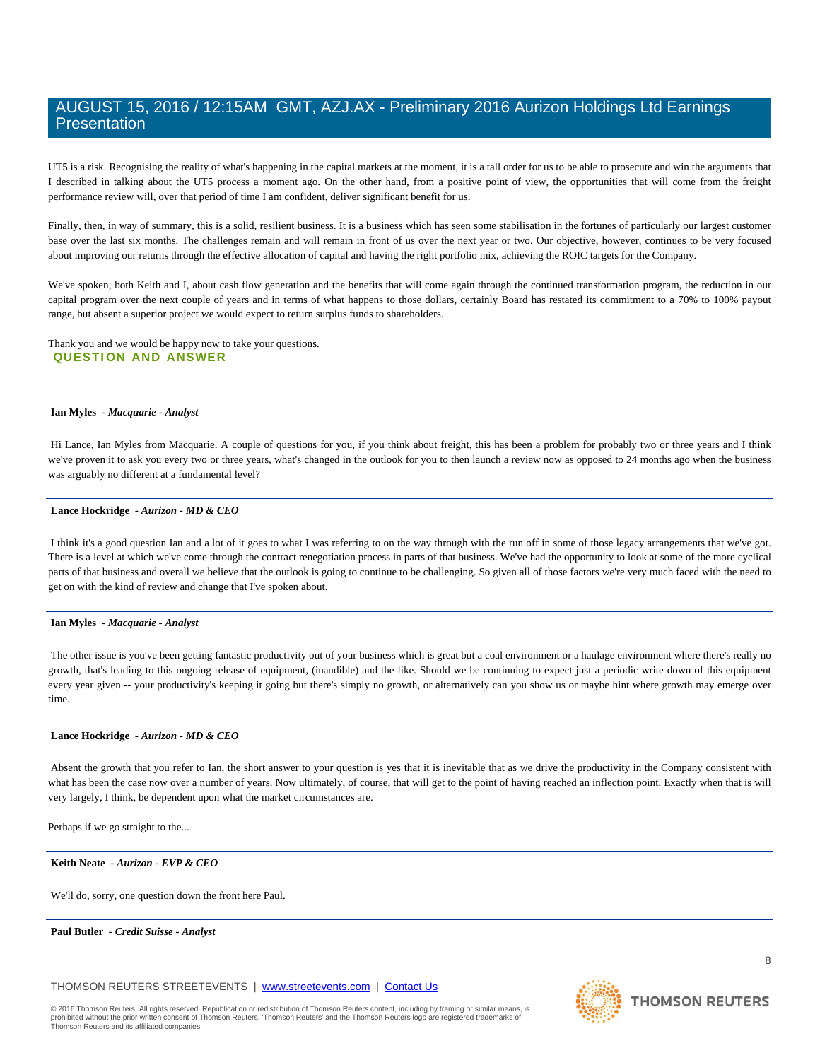UT5 is a risk. Recognising the reality of what's happening in the capital markets at the moment, it is a tall order for us to be able to prosecute and win the arguments that I described in talking about the UT5 process a moment ago. On the other hand, from a positive point of view, the opportunities that will come from the freight performance review will, over that period of time I am confident, deliver significant benefit for us.

Finally, then, in way of summary, this is a solid, resilient business. It is a business which has seen some stabilisation in the fortunes of particularly our largest customer base over the last six months. The challenges remain and will remain in front of us over the next year or two. Our objective, however, continues to be very focused about improving our returns through the effective allocation of capital and having the right portfolio mix, achieving the ROIC targets for the Company.

We've spoken, both Keith and I, about cash flow generation and the benefits that will come again through the continued transformation program, the reduction in our capital program over the next couple of years and in terms of what happens to those dollars, certainly Board has restated its commitment to a 70% to 100% payout range, but absent a superior project we would expect to return surplus funds to shareholders.

Thank you and we would be happy now to take your questions. **QUESTION AND ANSWER** 

# **Ian Myles** *- Macquarie - Analyst*

 Hi Lance, Ian Myles from Macquarie. A couple of questions for you, if you think about freight, this has been a problem for probably two or three years and I think we've proven it to ask you every two or three years, what's changed in the outlook for you to then launch a review now as opposed to 24 months ago when the business was arguably no different at a fundamental level?

#### **Lance Hockridge** *- Aurizon - MD & CEO*

 I think it's a good question Ian and a lot of it goes to what I was referring to on the way through with the run off in some of those legacy arrangements that we've got. There is a level at which we've come through the contract renegotiation process in parts of that business. We've had the opportunity to look at some of the more cyclical parts of that business and overall we believe that the outlook is going to continue to be challenging. So given all of those factors we're very much faced with the need to get on with the kind of review and change that I've spoken about.

#### **Ian Myles** *- Macquarie - Analyst*

The other issue is you've been getting fantastic productivity out of your business which is great but a coal environment or a haulage environment where there's really no growth, that's leading to this ongoing release of equipment, (inaudible) and the like. Should we be continuing to expect just a periodic write down of this equipment every year given -- your productivity's keeping it going but there's simply no growth, or alternatively can you show us or maybe hint where growth may emerge over time.

#### **Lance Hockridge** *- Aurizon - MD & CEO*

Absent the growth that you refer to Ian, the short answer to your question is yes that it is inevitable that as we drive the productivity in the Company consistent with what has been the case now over a number of years. Now ultimately, of course, that will get to the point of having reached an inflection point. Exactly when that is will very largely, I think, be dependent upon what the market circumstances are.

Perhaps if we go straight to the...

# **Keith Neate** *- Aurizon - EVP & CEO*

We'll do, sorry, one question down the front here Paul.

# **Paul Butler** *- Credit Suisse - Analyst*

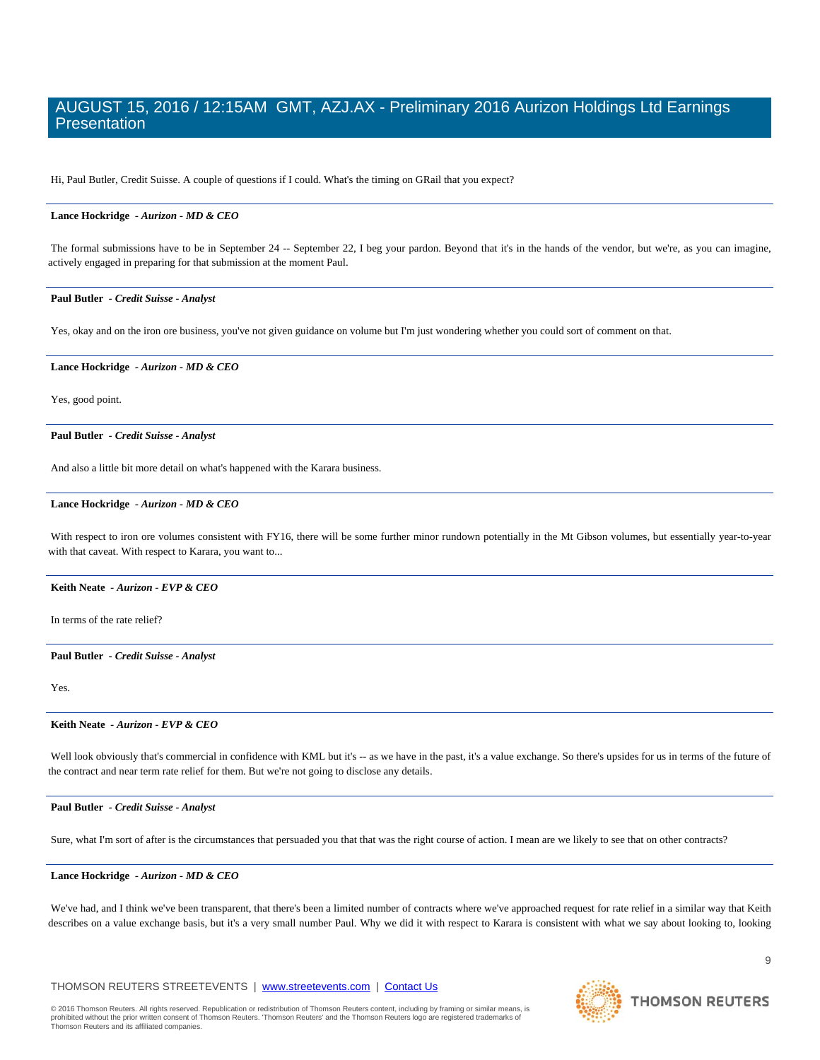Hi, Paul Butler, Credit Suisse. A couple of questions if I could. What's the timing on GRail that you expect?

# **Lance Hockridge** *- Aurizon - MD & CEO*

The formal submissions have to be in September 24 -- September 22, I beg your pardon. Beyond that it's in the hands of the vendor, but we're, as you can imagine, actively engaged in preparing for that submission at the moment Paul.

#### **Paul Butler** *- Credit Suisse - Analyst*

Yes, okay and on the iron ore business, you've not given guidance on volume but I'm just wondering whether you could sort of comment on that.

## **Lance Hockridge** *- Aurizon - MD & CEO*

Yes, good point.

 **Paul Butler** *- Credit Suisse - Analyst* 

And also a little bit more detail on what's happened with the Karara business.

#### **Lance Hockridge** *- Aurizon - MD & CEO*

With respect to iron ore volumes consistent with FY16, there will be some further minor rundown potentially in the Mt Gibson volumes, but essentially year-to-year with that caveat. With respect to Karara, you want to...

# **Keith Neate** *- Aurizon - EVP & CEO*

In terms of the rate relief?

## **Paul Butler** *- Credit Suisse - Analyst*

Yes.

#### **Keith Neate** *- Aurizon - EVP & CEO*

Well look obviously that's commercial in confidence with KML but it's -- as we have in the past, it's a value exchange. So there's upsides for us in terms of the future of the contract and near term rate relief for them. But we're not going to disclose any details.

# **Paul Butler** *- Credit Suisse - Analyst*

Sure, what I'm sort of after is the circumstances that persuaded you that that was the right course of action. I mean are we likely to see that on other contracts?

## **Lance Hockridge** *- Aurizon - MD & CEO*

We've had, and I think we've been transparent, that there's been a limited number of contracts where we've approached request for rate relief in a similar way that Keith describes on a value exchange basis, but it's a very small number Paul. Why we did it with respect to Karara is consistent with what we say about looking to, looking

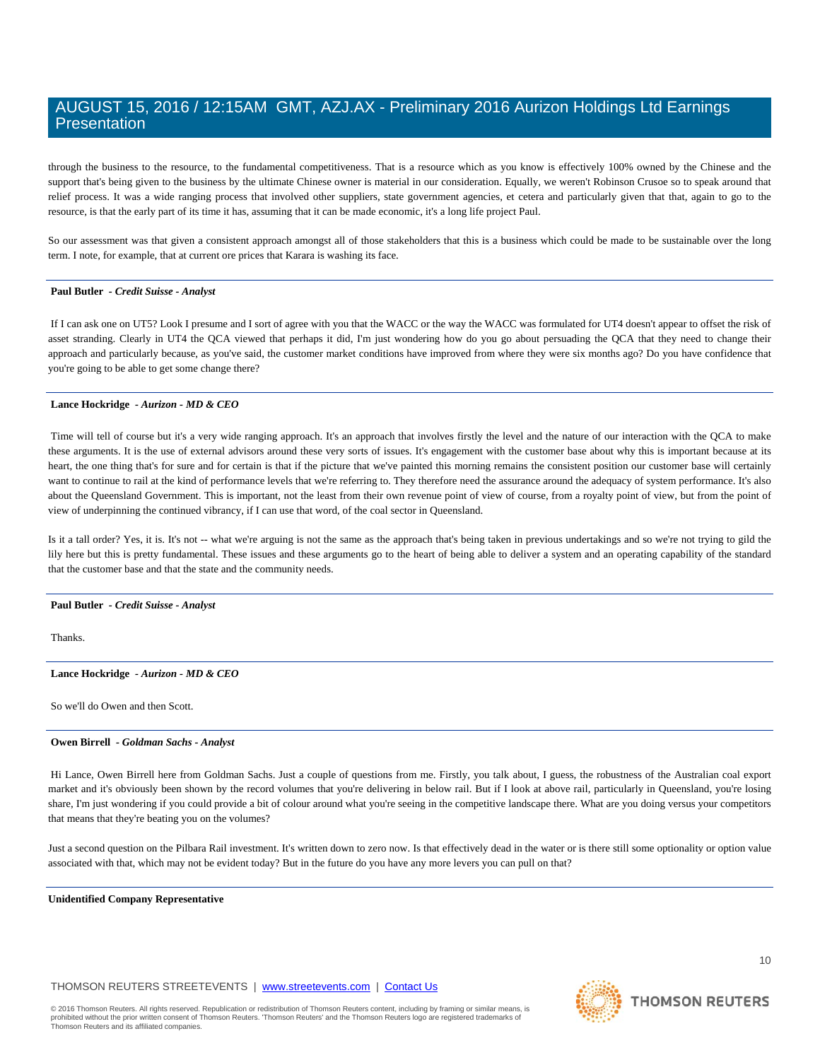through the business to the resource, to the fundamental competitiveness. That is a resource which as you know is effectively 100% owned by the Chinese and the support that's being given to the business by the ultimate Chinese owner is material in our consideration. Equally, we weren't Robinson Crusoe so to speak around that relief process. It was a wide ranging process that involved other suppliers, state government agencies, et cetera and particularly given that that, again to go to the resource, is that the early part of its time it has, assuming that it can be made economic, it's a long life project Paul.

So our assessment was that given a consistent approach amongst all of those stakeholders that this is a business which could be made to be sustainable over the long term. I note, for example, that at current ore prices that Karara is washing its face.

# **Paul Butler** *- Credit Suisse - Analyst*

 If I can ask one on UT5? Look I presume and I sort of agree with you that the WACC or the way the WACC was formulated for UT4 doesn't appear to offset the risk of asset stranding. Clearly in UT4 the QCA viewed that perhaps it did, I'm just wondering how do you go about persuading the QCA that they need to change their approach and particularly because, as you've said, the customer market conditions have improved from where they were six months ago? Do you have confidence that you're going to be able to get some change there?

## **Lance Hockridge** *- Aurizon - MD & CEO*

 Time will tell of course but it's a very wide ranging approach. It's an approach that involves firstly the level and the nature of our interaction with the QCA to make these arguments. It is the use of external advisors around these very sorts of issues. It's engagement with the customer base about why this is important because at its heart, the one thing that's for sure and for certain is that if the picture that we've painted this morning remains the consistent position our customer base will certainly want to continue to rail at the kind of performance levels that we're referring to. They therefore need the assurance around the adequacy of system performance. It's also about the Queensland Government. This is important, not the least from their own revenue point of view of course, from a royalty point of view, but from the point of view of underpinning the continued vibrancy, if I can use that word, of the coal sector in Queensland.

Is it a tall order? Yes, it is. It's not -- what we're arguing is not the same as the approach that's being taken in previous undertakings and so we're not trying to gild the lily here but this is pretty fundamental. These issues and these arguments go to the heart of being able to deliver a system and an operating capability of the standard that the customer base and that the state and the community needs.

#### **Paul Butler** *- Credit Suisse - Analyst*

Thanks.

#### **Lance Hockridge** *- Aurizon - MD & CEO*

So we'll do Owen and then Scott.

# **Owen Birrell** *- Goldman Sachs - Analyst*

 Hi Lance, Owen Birrell here from Goldman Sachs. Just a couple of questions from me. Firstly, you talk about, I guess, the robustness of the Australian coal export market and it's obviously been shown by the record volumes that you're delivering in below rail. But if I look at above rail, particularly in Queensland, you're losing share, I'm just wondering if you could provide a bit of colour around what you're seeing in the competitive landscape there. What are you doing versus your competitors that means that they're beating you on the volumes?

Just a second question on the Pilbara Rail investment. It's written down to zero now. Is that effectively dead in the water or is there still some optionality or option value associated with that, which may not be evident today? But in the future do you have any more levers you can pull on that?

#### **Unidentified Company Representative**

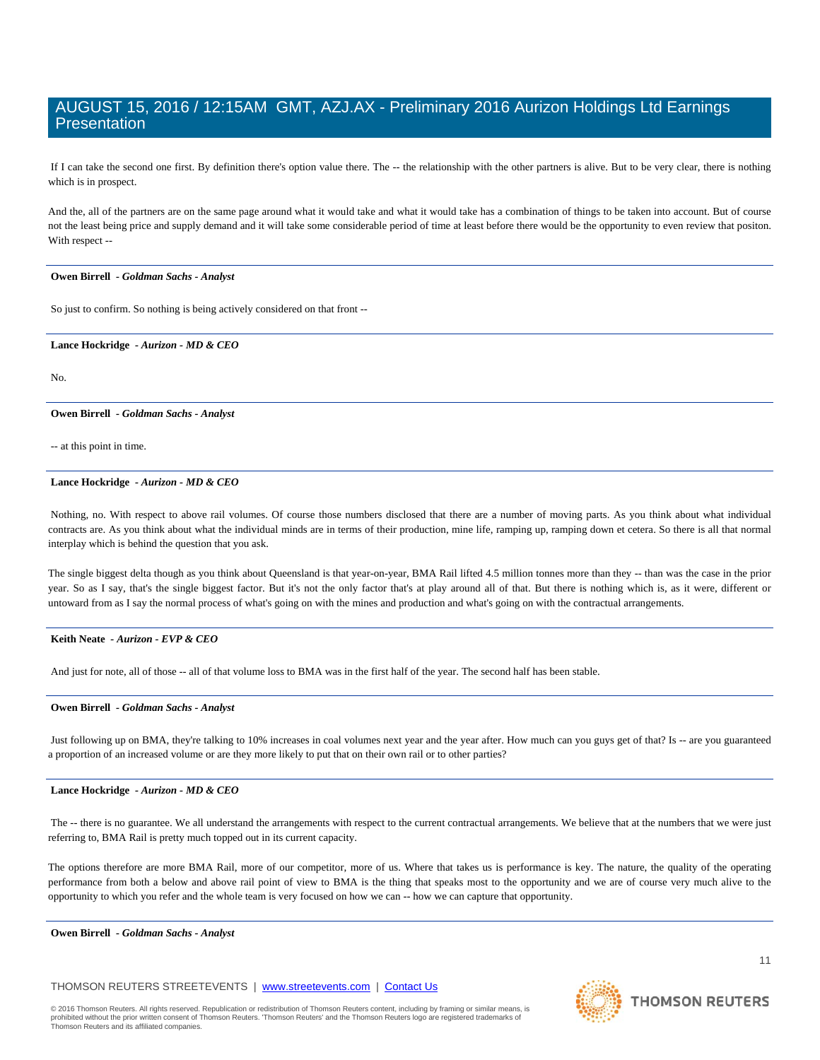If I can take the second one first. By definition there's option value there. The -- the relationship with the other partners is alive. But to be very clear, there is nothing which is in prospect.

And the, all of the partners are on the same page around what it would take and what it would take has a combination of things to be taken into account. But of course not the least being price and supply demand and it will take some considerable period of time at least before there would be the opportunity to even review that positon. With respect --

# **Owen Birrell** *- Goldman Sachs - Analyst*

So just to confirm. So nothing is being actively considered on that front --

# **Lance Hockridge** *- Aurizon - MD & CEO*

No.

# **Owen Birrell** *- Goldman Sachs - Analyst*

-- at this point in time.

# **Lance Hockridge** *- Aurizon - MD & CEO*

 Nothing, no. With respect to above rail volumes. Of course those numbers disclosed that there are a number of moving parts. As you think about what individual contracts are. As you think about what the individual minds are in terms of their production, mine life, ramping up, ramping down et cetera. So there is all that normal interplay which is behind the question that you ask.

The single biggest delta though as you think about Queensland is that year-on-year, BMA Rail lifted 4.5 million tonnes more than they -- than was the case in the prior year. So as I say, that's the single biggest factor. But it's not the only factor that's at play around all of that. But there is nothing which is, as it were, different or untoward from as I say the normal process of what's going on with the mines and production and what's going on with the contractual arrangements.

# **Keith Neate** *- Aurizon - EVP & CEO*

And just for note, all of those -- all of that volume loss to BMA was in the first half of the year. The second half has been stable.

# **Owen Birrell** *- Goldman Sachs - Analyst*

 Just following up on BMA, they're talking to 10% increases in coal volumes next year and the year after. How much can you guys get of that? Is -- are you guaranteed a proportion of an increased volume or are they more likely to put that on their own rail or to other parties?

# **Lance Hockridge** *- Aurizon - MD & CEO*

The -- there is no guarantee. We all understand the arrangements with respect to the current contractual arrangements. We believe that at the numbers that we were just referring to, BMA Rail is pretty much topped out in its current capacity.

The options therefore are more BMA Rail, more of our competitor, more of us. Where that takes us is performance is key. The nature, the quality of the operating performance from both a below and above rail point of view to BMA is the thing that speaks most to the opportunity and we are of course very much alive to the opportunity to which you refer and the whole team is very focused on how we can -- how we can capture that opportunity.

# **Owen Birrell** *- Goldman Sachs - Analyst*

# THOMSON REUTERS STREETEVENTS | www.streetevents.com | Contact Us

© 2016 Thomson Reuters. All rights reserved. Republication or redistribution of Thomson Reuters content, including by framing or similar means, is<br>prohibited without the prior written consent of Thomson Reuters: 'Thomson R Thomson Reuters and its affiliated companies.



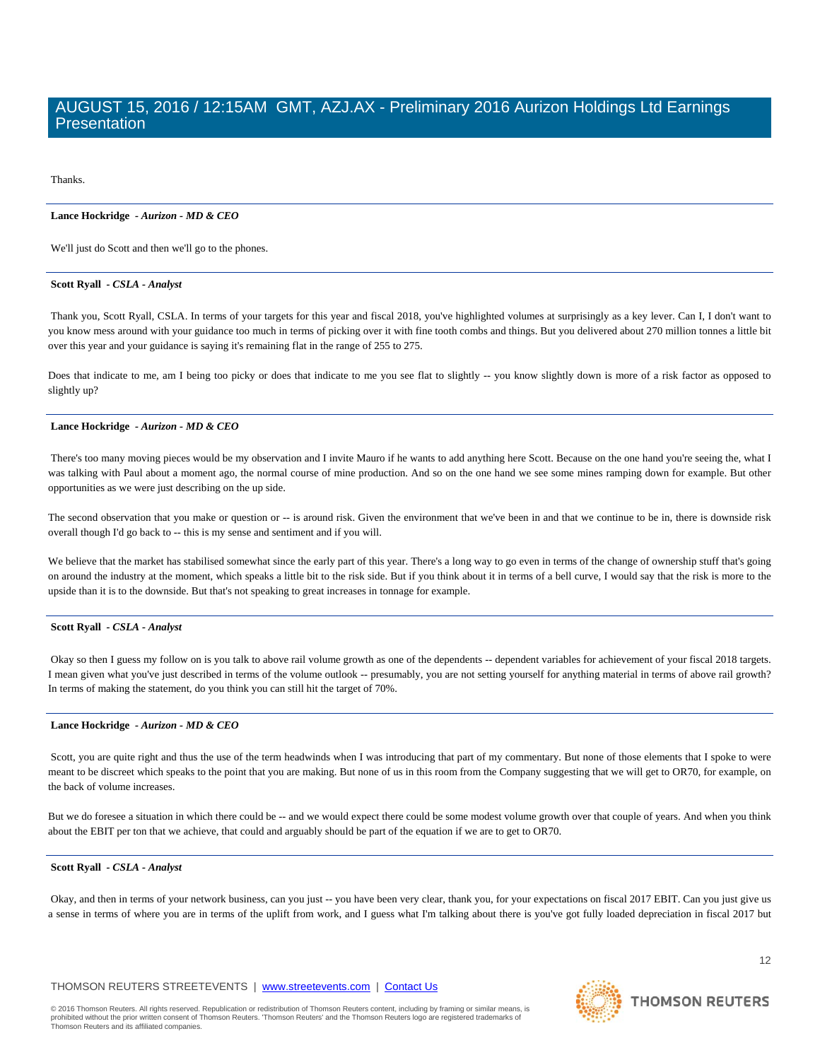Thanks.

## **Lance Hockridge** *- Aurizon - MD & CEO*

We'll just do Scott and then we'll go to the phones.

# **Scott Ryall** *- CSLA - Analyst*

 Thank you, Scott Ryall, CSLA. In terms of your targets for this year and fiscal 2018, you've highlighted volumes at surprisingly as a key lever. Can I, I don't want to you know mess around with your guidance too much in terms of picking over it with fine tooth combs and things. But you delivered about 270 million tonnes a little bit over this year and your guidance is saying it's remaining flat in the range of 255 to 275.

Does that indicate to me, am I being too picky or does that indicate to me you see flat to slightly -- you know slightly down is more of a risk factor as opposed to slightly up?

## **Lance Hockridge** *- Aurizon - MD & CEO*

There's too many moving pieces would be my observation and I invite Mauro if he wants to add anything here Scott. Because on the one hand you're seeing the, what I was talking with Paul about a moment ago, the normal course of mine production. And so on the one hand we see some mines ramping down for example. But other opportunities as we were just describing on the up side.

The second observation that you make or question or -- is around risk. Given the environment that we've been in and that we continue to be in, there is downside risk overall though I'd go back to -- this is my sense and sentiment and if you will.

We believe that the market has stabilised somewhat since the early part of this year. There's a long way to go even in terms of the change of ownership stuff that's going on around the industry at the moment, which speaks a little bit to the risk side. But if you think about it in terms of a bell curve, I would say that the risk is more to the upside than it is to the downside. But that's not speaking to great increases in tonnage for example.

# **Scott Ryall** *- CSLA - Analyst*

 Okay so then I guess my follow on is you talk to above rail volume growth as one of the dependents -- dependent variables for achievement of your fiscal 2018 targets. I mean given what you've just described in terms of the volume outlook -- presumably, you are not setting yourself for anything material in terms of above rail growth? In terms of making the statement, do you think you can still hit the target of 70%.

## **Lance Hockridge** *- Aurizon - MD & CEO*

Scott, you are quite right and thus the use of the term headwinds when I was introducing that part of my commentary. But none of those elements that I spoke to were meant to be discreet which speaks to the point that you are making. But none of us in this room from the Company suggesting that we will get to OR70, for example, on the back of volume increases.

But we do foresee a situation in which there could be -- and we would expect there could be some modest volume growth over that couple of years. And when you think about the EBIT per ton that we achieve, that could and arguably should be part of the equation if we are to get to OR70.

# **Scott Ryall** *- CSLA - Analyst*

 Okay, and then in terms of your network business, can you just -- you have been very clear, thank you, for your expectations on fiscal 2017 EBIT. Can you just give us a sense in terms of where you are in terms of the uplift from work, and I guess what I'm talking about there is you've got fully loaded depreciation in fiscal 2017 but

# THOMSON REUTERS STREETEVENTS | www.streetevents.com | Contact Us

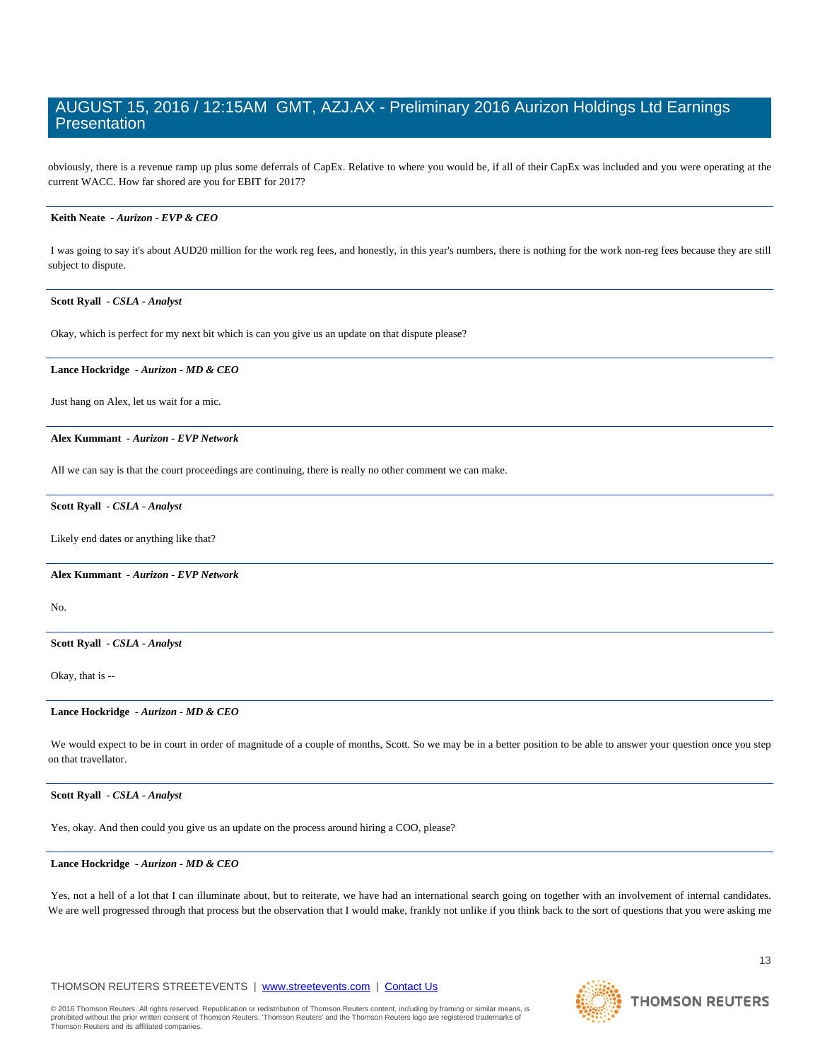obviously, there is a revenue ramp up plus some deferrals of CapEx. Relative to where you would be, if all of their CapEx was included and you were operating at the current WACC. How far shored are you for EBIT for 2017?

# **Keith Neate** *- Aurizon - EVP & CEO*

 I was going to say it's about AUD20 million for the work reg fees, and honestly, in this year's numbers, there is nothing for the work non-reg fees because they are still subject to dispute.

# **Scott Ryall** *- CSLA - Analyst*

Okay, which is perfect for my next bit which is can you give us an update on that dispute please?

#### **Lance Hockridge** *- Aurizon - MD & CEO*

Just hang on Alex, let us wait for a mic.

#### **Alex Kummant** *- Aurizon - EVP Network*

All we can say is that the court proceedings are continuing, there is really no other comment we can make.

## **Scott Ryall** *- CSLA - Analyst*

Likely end dates or anything like that?

 **Alex Kummant** *- Aurizon - EVP Network* 

No.

# **Scott Ryall** *- CSLA - Analyst*

Okay, that is --

## **Lance Hockridge** *- Aurizon - MD & CEO*

 We would expect to be in court in order of magnitude of a couple of months, Scott. So we may be in a better position to be able to answer your question once you step on that travellator.

# **Scott Ryall** *- CSLA - Analyst*

Yes, okay. And then could you give us an update on the process around hiring a COO, please?

#### **Lance Hockridge** *- Aurizon - MD & CEO*

Yes, not a hell of a lot that I can illuminate about, but to reiterate, we have had an international search going on together with an involvement of internal candidates. We are well progressed through that process but the observation that I would make, frankly not unlike if you think back to the sort of questions that you were asking me

# THOMSON REUTERS STREETEVENTS | www.streetevents.com | Contact Us

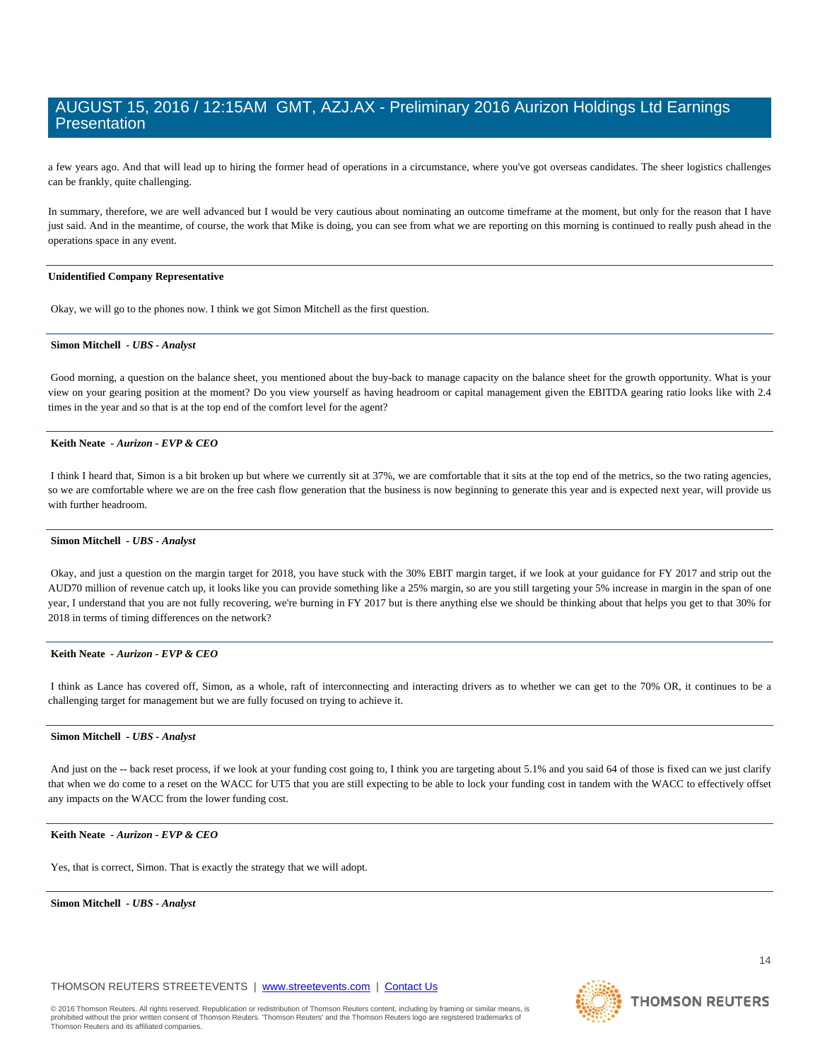a few years ago. And that will lead up to hiring the former head of operations in a circumstance, where you've got overseas candidates. The sheer logistics challenges can be frankly, quite challenging.

In summary, therefore, we are well advanced but I would be very cautious about nominating an outcome timeframe at the moment, but only for the reason that I have just said. And in the meantime, of course, the work that Mike is doing, you can see from what we are reporting on this morning is continued to really push ahead in the operations space in any event.

# **Unidentified Company Representative**

Okay, we will go to the phones now. I think we got Simon Mitchell as the first question.

# **Simon Mitchell** *- UBS - Analyst*

Good morning, a question on the balance sheet, you mentioned about the buy-back to manage capacity on the balance sheet for the growth opportunity. What is your view on your gearing position at the moment? Do you view yourself as having headroom or capital management given the EBITDA gearing ratio looks like with 2.4 times in the year and so that is at the top end of the comfort level for the agent?

# **Keith Neate** *- Aurizon - EVP & CEO*

 I think I heard that, Simon is a bit broken up but where we currently sit at 37%, we are comfortable that it sits at the top end of the metrics, so the two rating agencies, so we are comfortable where we are on the free cash flow generation that the business is now beginning to generate this year and is expected next year, will provide us with further headroom.

## **Simon Mitchell** *- UBS - Analyst*

 Okay, and just a question on the margin target for 2018, you have stuck with the 30% EBIT margin target, if we look at your guidance for FY 2017 and strip out the AUD70 million of revenue catch up, it looks like you can provide something like a 25% margin, so are you still targeting your 5% increase in margin in the span of one year, I understand that you are not fully recovering, we're burning in FY 2017 but is there anything else we should be thinking about that helps you get to that 30% for 2018 in terms of timing differences on the network?

# **Keith Neate** *- Aurizon - EVP & CEO*

 I think as Lance has covered off, Simon, as a whole, raft of interconnecting and interacting drivers as to whether we can get to the 70% OR, it continues to be a challenging target for management but we are fully focused on trying to achieve it.

## **Simon Mitchell** *- UBS - Analyst*

 And just on the -- back reset process, if we look at your funding cost going to, I think you are targeting about 5.1% and you said 64 of those is fixed can we just clarify that when we do come to a reset on the WACC for UT5 that you are still expecting to be able to lock your funding cost in tandem with the WACC to effectively offset any impacts on the WACC from the lower funding cost.

#### **Keith Neate** *- Aurizon - EVP & CEO*

Yes, that is correct, Simon. That is exactly the strategy that we will adopt.

 **Simon Mitchell** *- UBS - Analyst* 

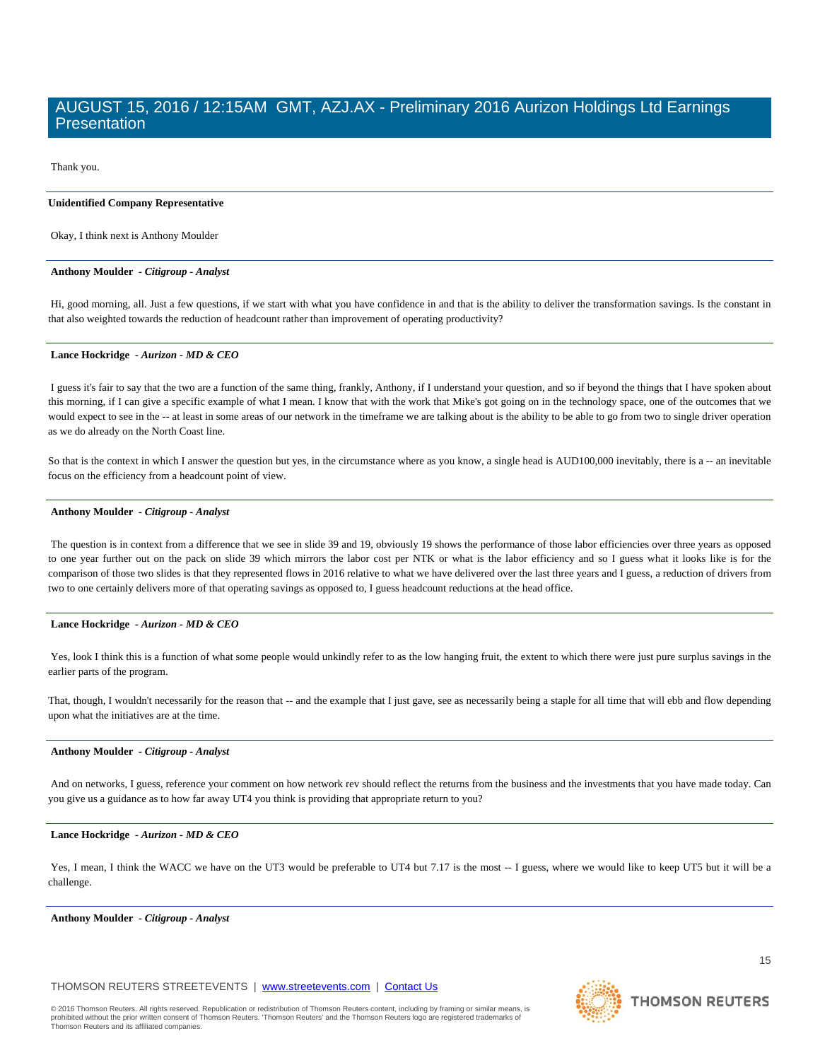Thank you.

# **Unidentified Company Representative**

Okay, I think next is Anthony Moulder

# **Anthony Moulder** *- Citigroup - Analyst*

 Hi, good morning, all. Just a few questions, if we start with what you have confidence in and that is the ability to deliver the transformation savings. Is the constant in that also weighted towards the reduction of headcount rather than improvement of operating productivity?

# **Lance Hockridge** *- Aurizon - MD & CEO*

 I guess it's fair to say that the two are a function of the same thing, frankly, Anthony, if I understand your question, and so if beyond the things that I have spoken about this morning, if I can give a specific example of what I mean. I know that with the work that Mike's got going on in the technology space, one of the outcomes that we would expect to see in the -- at least in some areas of our network in the timeframe we are talking about is the ability to be able to go from two to single driver operation as we do already on the North Coast line.

So that is the context in which I answer the question but yes, in the circumstance where as you know, a single head is AUD100,000 inevitably, there is a -- an inevitable focus on the efficiency from a headcount point of view.

#### **Anthony Moulder** *- Citigroup - Analyst*

 The question is in context from a difference that we see in slide 39 and 19, obviously 19 shows the performance of those labor efficiencies over three years as opposed to one year further out on the pack on slide 39 which mirrors the labor cost per NTK or what is the labor efficiency and so I guess what it looks like is for the comparison of those two slides is that they represented flows in 2016 relative to what we have delivered over the last three years and I guess, a reduction of drivers from two to one certainly delivers more of that operating savings as opposed to, I guess headcount reductions at the head office.

# **Lance Hockridge** *- Aurizon - MD & CEO*

Yes, look I think this is a function of what some people would unkindly refer to as the low hanging fruit, the extent to which there were just pure surplus savings in the earlier parts of the program.

That, though, I wouldn't necessarily for the reason that -- and the example that I just gave, see as necessarily being a staple for all time that will ebb and flow depending upon what the initiatives are at the time.

# **Anthony Moulder** *- Citigroup - Analyst*

 And on networks, I guess, reference your comment on how network rev should reflect the returns from the business and the investments that you have made today. Can you give us a guidance as to how far away UT4 you think is providing that appropriate return to you?

# **Lance Hockridge** *- Aurizon - MD & CEO*

Yes, I mean, I think the WACC we have on the UT3 would be preferable to UT4 but 7.17 is the most -- I guess, where we would like to keep UT5 but it will be a challenge.

 **Anthony Moulder** *- Citigroup - Analyst* 

# THOMSON REUTERS STREETEVENTS | www.streetevents.com | Contact Us

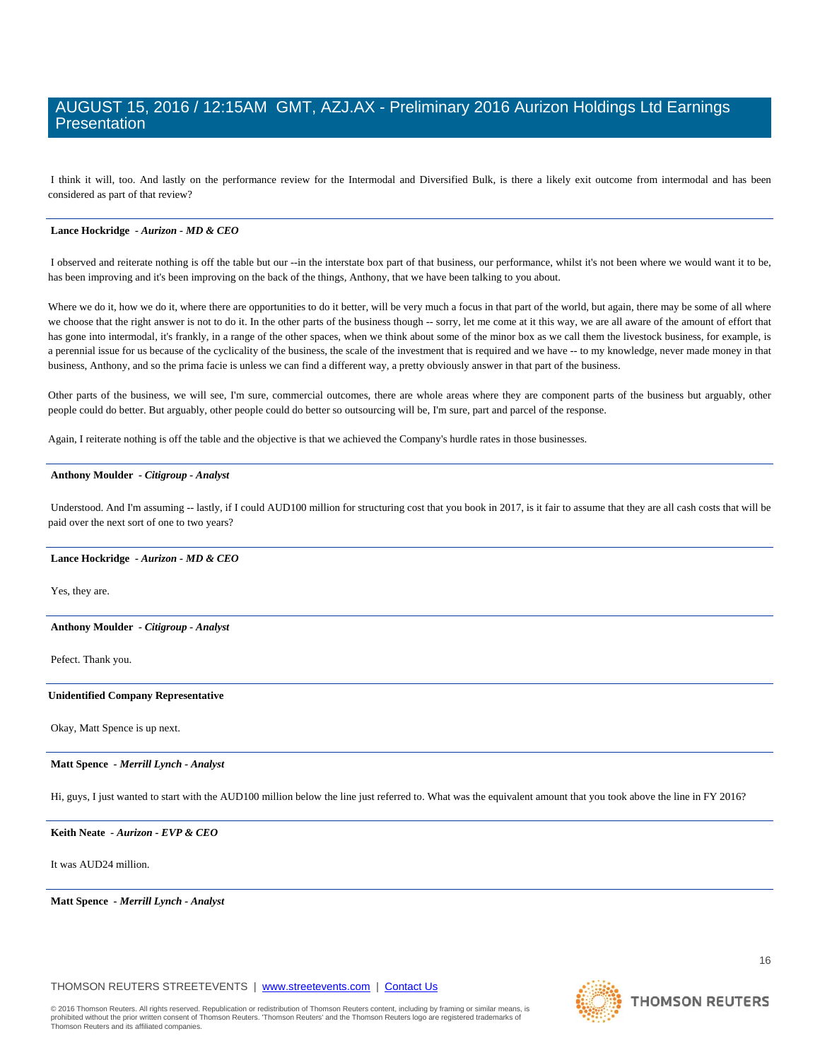I think it will, too. And lastly on the performance review for the Intermodal and Diversified Bulk, is there a likely exit outcome from intermodal and has been considered as part of that review?

# **Lance Hockridge** *- Aurizon - MD & CEO*

I observed and reiterate nothing is off the table but our --in the interstate box part of that business, our performance, whilst it's not been where we would want it to be, has been improving and it's been improving on the back of the things, Anthony, that we have been talking to you about.

Where we do it, how we do it, where there are opportunities to do it better, will be very much a focus in that part of the world, but again, there may be some of all where we choose that the right answer is not to do it. In the other parts of the business though -- sorry, let me come at it this way, we are all aware of the amount of effort that has gone into intermodal, it's frankly, in a range of the other spaces, when we think about some of the minor box as we call them the livestock business, for example, is a perennial issue for us because of the cyclicality of the business, the scale of the investment that is required and we have -- to my knowledge, never made money in that business, Anthony, and so the prima facie is unless we can find a different way, a pretty obviously answer in that part of the business.

Other parts of the business, we will see, I'm sure, commercial outcomes, there are whole areas where they are component parts of the business but arguably, other people could do better. But arguably, other people could do better so outsourcing will be, I'm sure, part and parcel of the response.

Again, I reiterate nothing is off the table and the objective is that we achieved the Company's hurdle rates in those businesses.

#### **Anthony Moulder** *- Citigroup - Analyst*

 Understood. And I'm assuming -- lastly, if I could AUD100 million for structuring cost that you book in 2017, is it fair to assume that they are all cash costs that will be paid over the next sort of one to two years?

#### **Lance Hockridge** *- Aurizon - MD & CEO*

Yes, they are.

## **Anthony Moulder** *- Citigroup - Analyst*

Pefect. Thank you.

# **Unidentified Company Representative**

Okay, Matt Spence is up next.

## **Matt Spence** *- Merrill Lynch - Analyst*

Hi, guys, I just wanted to start with the AUD100 million below the line just referred to. What was the equivalent amount that you took above the line in FY 2016?

 **Keith Neate** *- Aurizon - EVP & CEO* 

It was AUD24 million.

 **Matt Spence** *- Merrill Lynch - Analyst* 

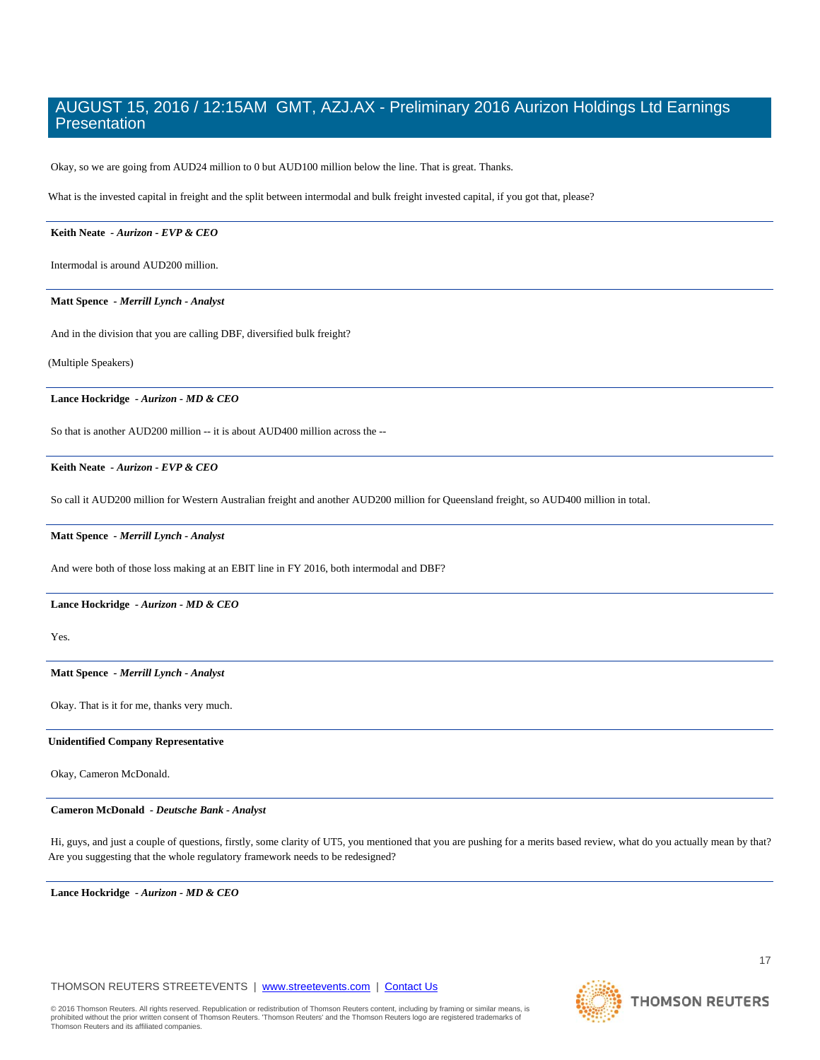Okay, so we are going from AUD24 million to 0 but AUD100 million below the line. That is great. Thanks.

What is the invested capital in freight and the split between intermodal and bulk freight invested capital, if you got that, please?

# **Keith Neate** *- Aurizon - EVP & CEO*

Intermodal is around AUD200 million.

 **Matt Spence** *- Merrill Lynch - Analyst* 

And in the division that you are calling DBF, diversified bulk freight?

(Multiple Speakers)

 **Lance Hockridge** *- Aurizon - MD & CEO* 

So that is another AUD200 million -- it is about AUD400 million across the --

# **Keith Neate** *- Aurizon - EVP & CEO*

So call it AUD200 million for Western Australian freight and another AUD200 million for Queensland freight, so AUD400 million in total.

 **Matt Spence** *- Merrill Lynch - Analyst* 

And were both of those loss making at an EBIT line in FY 2016, both intermodal and DBF?

## **Lance Hockridge** *- Aurizon - MD & CEO*

Yes.

# **Matt Spence** *- Merrill Lynch - Analyst*

Okay. That is it for me, thanks very much.

# **Unidentified Company Representative**

Okay, Cameron McDonald.

## **Cameron McDonald** *- Deutsche Bank - Analyst*

 Hi, guys, and just a couple of questions, firstly, some clarity of UT5, you mentioned that you are pushing for a merits based review, what do you actually mean by that? Are you suggesting that the whole regulatory framework needs to be redesigned?

 **Lance Hockridge** *- Aurizon - MD & CEO* 

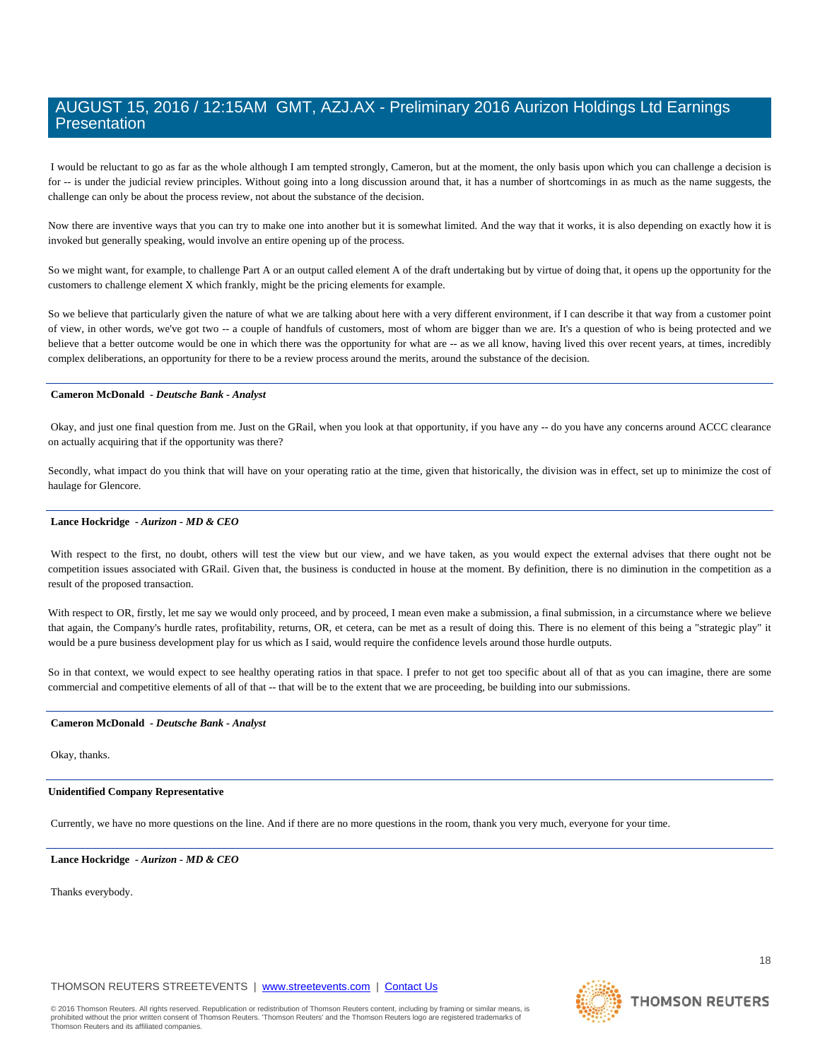I would be reluctant to go as far as the whole although I am tempted strongly, Cameron, but at the moment, the only basis upon which you can challenge a decision is for -- is under the judicial review principles. Without going into a long discussion around that, it has a number of shortcomings in as much as the name suggests, the challenge can only be about the process review, not about the substance of the decision.

Now there are inventive ways that you can try to make one into another but it is somewhat limited. And the way that it works, it is also depending on exactly how it is invoked but generally speaking, would involve an entire opening up of the process.

So we might want, for example, to challenge Part A or an output called element A of the draft undertaking but by virtue of doing that, it opens up the opportunity for the customers to challenge element X which frankly, might be the pricing elements for example.

So we believe that particularly given the nature of what we are talking about here with a very different environment, if I can describe it that way from a customer point of view, in other words, we've got two -- a couple of handfuls of customers, most of whom are bigger than we are. It's a question of who is being protected and we believe that a better outcome would be one in which there was the opportunity for what are -- as we all know, having lived this over recent years, at times, incredibly complex deliberations, an opportunity for there to be a review process around the merits, around the substance of the decision.

# **Cameron McDonald** *- Deutsche Bank - Analyst*

 Okay, and just one final question from me. Just on the GRail, when you look at that opportunity, if you have any -- do you have any concerns around ACCC clearance on actually acquiring that if the opportunity was there?

Secondly, what impact do you think that will have on your operating ratio at the time, given that historically, the division was in effect, set up to minimize the cost of haulage for Glencore.

#### **Lance Hockridge** *- Aurizon - MD & CEO*

With respect to the first, no doubt, others will test the view but our view, and we have taken, as you would expect the external advises that there ought not be competition issues associated with GRail. Given that, the business is conducted in house at the moment. By definition, there is no diminution in the competition as a result of the proposed transaction.

With respect to OR, firstly, let me say we would only proceed, and by proceed, I mean even make a submission, a final submission, in a circumstance where we believe that again, the Company's hurdle rates, profitability, returns, OR, et cetera, can be met as a result of doing this. There is no element of this being a "strategic play" it would be a pure business development play for us which as I said, would require the confidence levels around those hurdle outputs.

So in that context, we would expect to see healthy operating ratios in that space. I prefer to not get too specific about all of that as you can imagine, there are some commercial and competitive elements of all of that -- that will be to the extent that we are proceeding, be building into our submissions.

## **Cameron McDonald** *- Deutsche Bank - Analyst*

# Okay, thanks.

# **Unidentified Company Representative**

Currently, we have no more questions on the line. And if there are no more questions in the room, thank you very much, everyone for your time.

 **Lance Hockridge** *- Aurizon - MD & CEO* 

Thanks everybody.

THOMSON REUTERS STREETEVENTS | www.streetevents.com | Contact Us